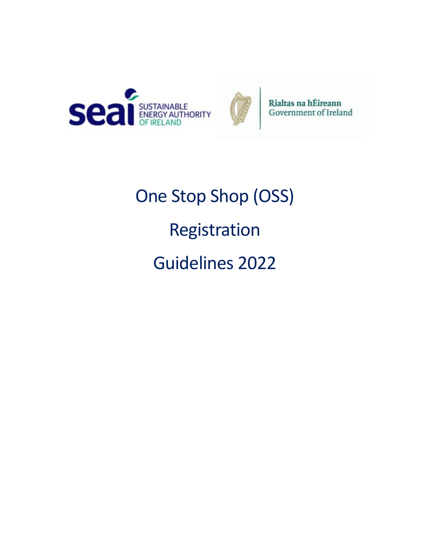



Rialtas na hÉireann Government of Ireland

One Stop Shop (OSS) Registration Guidelines 2022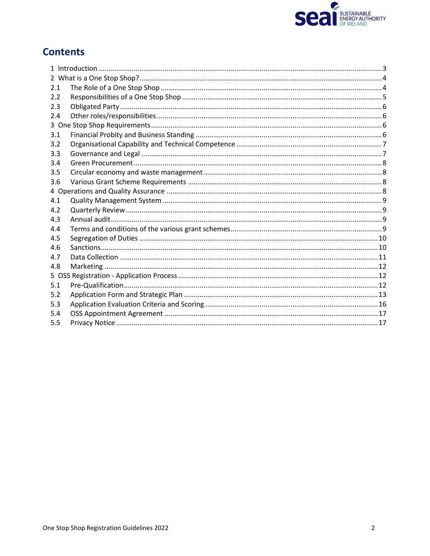

# **Contents**

| 2.1 |  |  |  |  |  |
|-----|--|--|--|--|--|
| 2.2 |  |  |  |  |  |
| 2.3 |  |  |  |  |  |
| 2.4 |  |  |  |  |  |
|     |  |  |  |  |  |
| 3.1 |  |  |  |  |  |
| 3.2 |  |  |  |  |  |
| 3.3 |  |  |  |  |  |
| 3.4 |  |  |  |  |  |
| 3.5 |  |  |  |  |  |
| 3.6 |  |  |  |  |  |
|     |  |  |  |  |  |
| 4.1 |  |  |  |  |  |
| 4.2 |  |  |  |  |  |
| 4.3 |  |  |  |  |  |
| 4.4 |  |  |  |  |  |
| 4.5 |  |  |  |  |  |
| 4.6 |  |  |  |  |  |
| 4.7 |  |  |  |  |  |
| 4.8 |  |  |  |  |  |
|     |  |  |  |  |  |
| 5.1 |  |  |  |  |  |
| 5.2 |  |  |  |  |  |
| 5.3 |  |  |  |  |  |
| 5.4 |  |  |  |  |  |
| 5.5 |  |  |  |  |  |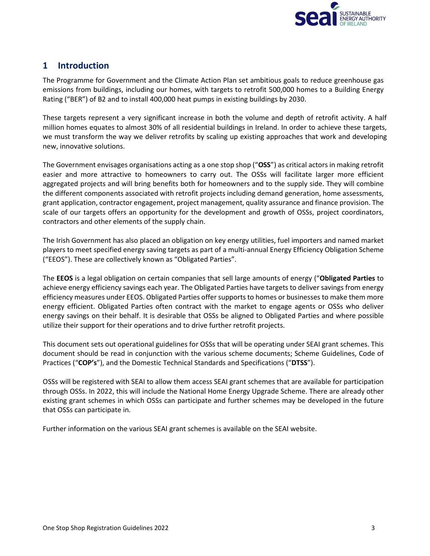

# <span id="page-2-0"></span>**1 Introduction**

The Programme for Government and the Climate Action Plan set ambitious goals to reduce greenhouse gas emissions from buildings, including our homes, with targets to retrofit 500,000 homes to a Building Energy Rating ("BER") of B2 and to install 400,000 heat pumps in existing buildings by 2030.

These targets represent a very significant increase in both the volume and depth of retrofit activity. A half million homes equates to almost 30% of all residential buildings in Ireland. In order to achieve these targets, we must transform the way we deliver retrofits by scaling up existing approaches that work and developing new, innovative solutions.

The Government envisages organisations acting as a one stop shop ("**OSS**") as critical actors in making retrofit easier and more attractive to homeowners to carry out. The OSSs will facilitate larger more efficient aggregated projects and will bring benefits both for homeowners and to the supply side. They will combine the different components associated with retrofit projects including demand generation, home assessments, grant application, contractor engagement, project management, quality assurance and finance provision. The scale of our targets offers an opportunity for the development and growth of OSSs, project coordinators, contractors and other elements of the supply chain.

The Irish Government has also placed an obligation on key energy utilities, fuel importers and named market players to meet specified energy saving targets as part of a multi-annual Energy Efficiency Obligation Scheme ("EEOS"). These are collectively known as "Obligated Parties".

The **EEOS** is a legal obligation on certain companies that sell large amounts of energy ("**Obligated Parties** to achieve energy efficiency savings each year. The Obligated Parties have targets to deliver savings from energy efficiency measures under EEOS. Obligated Parties offer supports to homes or businesses to make them more energy efficient. Obligated Parties often contract with the market to engage agents or OSSs who deliver energy savings on their behalf. It is desirable that OSSs be aligned to Obligated Parties and where possible utilize their support for their operations and to drive further retrofit projects.

This document sets out operational guidelines for OSSs that will be operating under SEAI grant schemes. This document should be read in conjunction with the various scheme documents; Scheme Guidelines, Code of Practices ("**COP's**"), and the Domestic Technical Standards and Specifications ("**DTSS**").

OSSs will be registered with SEAI to allow them access SEAI grant schemes that are available for participation through OSSs. In 2022, this will include the National Home Energy Upgrade Scheme. There are already other existing grant schemes in which OSSs can participate and further schemes may be developed in the future that OSSs can participate in.

Further information on the various SEAI grant schemes is available on the SEAI website.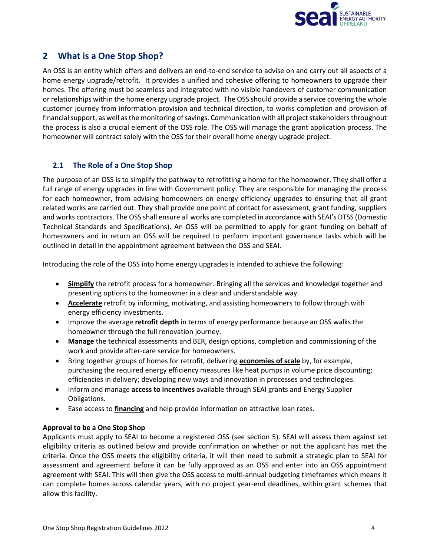

# <span id="page-3-0"></span>**2 What is a One Stop Shop?**

An OSS is an entity which offers and delivers an end-to-end service to advise on and carry out all aspects of a home energy upgrade/retrofit. It provides a unified and cohesive offering to homeowners to upgrade their homes. The offering must be seamless and integrated with no visible handovers of customer communication or relationships within the home energy upgrade project. The OSS should provide a service covering the whole customer journey from information provision and technical direction, to works completion and provision of financial support, as well as the monitoring of savings. Communication with all project stakeholders throughout the process is also a crucial element of the OSS role. The OSS will manage the grant application process. The homeowner will contract solely with the OSS for their overall home energy upgrade project.

# <span id="page-3-1"></span>**2.1 The Role of a One Stop Shop**

The purpose of an OSS is to simplify the pathway to retrofitting a home for the homeowner. They shall offer a full range of energy upgrades in line with Government policy. They are responsible for managing the process for each homeowner, from advising homeowners on energy efficiency upgrades to ensuring that all grant related works are carried out. They shall provide one point of contact for assessment, grant funding, suppliers and works contractors. The OSS shall ensure all works are completed in accordance with SEAI's DTSS (Domestic Technical Standards and Specifications). An OSS will be permitted to apply for grant funding on behalf of homeowners and in return an OSS will be required to perform important governance tasks which will be outlined in detail in the appointment agreement between the OSS and SEAI.

Introducing the role of the OSS into home energy upgrades is intended to achieve the following:

- **Simplify** the retrofit process for a homeowner. Bringing all the services and knowledge together and presenting options to the homeowner in a clear and understandable way.
- **Accelerate** retrofit by informing, motivating, and assisting homeowners to follow through with energy efficiency investments.
- Improve the average **retrofit depth** in terms of energy performance because an OSS walks the homeowner through the full renovation journey.
- **Manage** the technical assessments and BER, design options, completion and commissioning of the work and provide after-care service for homeowners.
- Bring together groups of homes for retrofit, delivering **economies of scale** by, for example, purchasing the required energy efficiency measures like heat pumps in volume price discounting; efficiencies in delivery; developing new ways and innovation in processes and technologies.
- Inform and manage **access to incentives** available through SEAI grants and Energy Supplier Obligations.
- Ease access to **financing** and help provide information on attractive loan rates.

# **Approval to be a One Stop Shop**

Applicants must apply to SEAI to become a registered OSS (see section 5). SEAI will assess them against set eligibility criteria as outlined below and provide confirmation on whether or not the applicant has met the criteria. Once the OSS meets the eligibility criteria, it will then need to submit a strategic plan to SEAI for assessment and agreement before it can be fully approved as an OSS and enter into an OSS appointment agreement with SEAI. This will then give the OSS access to multi-annual budgeting timeframes which means it can complete homes across calendar years, with no project year-end deadlines, within grant schemes that allow this facility.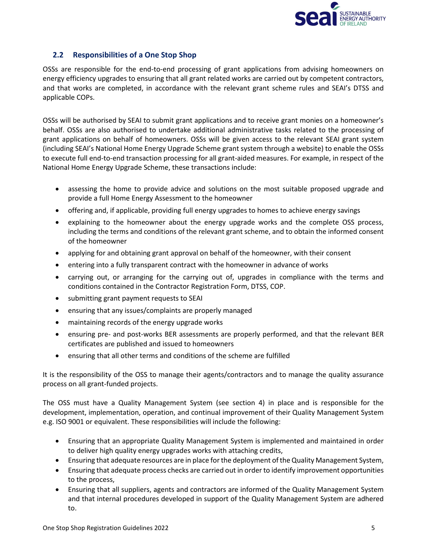

# <span id="page-4-0"></span>**2.2 Responsibilities of a One Stop Shop**

OSSs are responsible for the end-to-end processing of grant applications from advising homeowners on energy efficiency upgrades to ensuring that all grant related works are carried out by competent contractors, and that works are completed, in accordance with the relevant grant scheme rules and SEAI's DTSS and applicable COPs.

OSSs will be authorised by SEAI to submit grant applications and to receive grant monies on a homeowner's behalf. OSSs are also authorised to undertake additional administrative tasks related to the processing of grant applications on behalf of homeowners. OSSs will be given access to the relevant SEAI grant system (including SEAI's National Home Energy Upgrade Scheme grant system through a website) to enable the OSSs to execute full end-to-end transaction processing for all grant-aided measures. For example, in respect of the National Home Energy Upgrade Scheme, these transactions include:

- assessing the home to provide advice and solutions on the most suitable proposed upgrade and provide a full Home Energy Assessment to the homeowner
- offering and, if applicable, providing full energy upgrades to homes to achieve energy savings
- explaining to the homeowner about the energy upgrade works and the complete OSS process, including the terms and conditions of the relevant grant scheme, and to obtain the informed consent of the homeowner
- applying for and obtaining grant approval on behalf of the homeowner, with their consent
- entering into a fully transparent contract with the homeowner in advance of works
- carrying out, or arranging for the carrying out of, upgrades in compliance with the terms and conditions contained in the Contractor Registration Form, DTSS, COP.
- submitting grant payment requests to SEAI
- ensuring that any issues/complaints are properly managed
- maintaining records of the energy upgrade works
- ensuring pre- and post-works BER assessments are properly performed, and that the relevant BER certificates are published and issued to homeowners
- ensuring that all other terms and conditions of the scheme are fulfilled

It is the responsibility of the OSS to manage their agents/contractors and to manage the quality assurance process on all grant-funded projects.

The OSS must have a Quality Management System (see section [4\)](#page-7-3) in place and is responsible for the development, implementation, operation, and continual improvement of their Quality Management System e.g. ISO 9001 or equivalent. These responsibilities will include the following:

- Ensuring that an appropriate Quality Management System is implemented and maintained in order to deliver high quality energy upgrades works with attaching credits,
- Ensuring that adequate resources are in place for the deployment of the Quality Management System,
- Ensuring that adequate process checks are carried out in order to identify improvement opportunities to the process,
- Ensuring that all suppliers, agents and contractors are informed of the Quality Management System and that internal procedures developed in support of the Quality Management System are adhered to.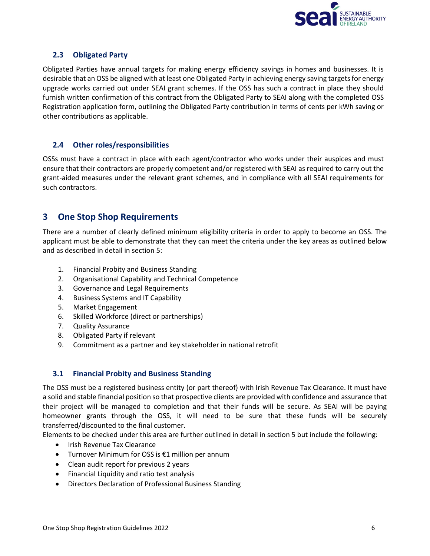

# <span id="page-5-0"></span>**2.3 Obligated Party**

Obligated Parties have annual targets for making energy efficiency savings in homes and businesses. It is desirable that an OSS be aligned with at least one Obligated Party in achieving energy saving targets for energy upgrade works carried out under SEAI grant schemes. If the OSS has such a contract in place they should furnish written confirmation of this contract from the Obligated Party to SEAI along with the completed OSS Registration application form, outlining the Obligated Party contribution in terms of cents per kWh saving or other contributions as applicable.

# <span id="page-5-1"></span>**2.4 Other roles/responsibilities**

OSSs must have a contract in place with each agent/contractor who works under their auspices and must ensure that their contractors are properly competent and/or registered with SEAI as required to carry out the grant-aided measures under the relevant grant schemes, and in compliance with all SEAI requirements for such contractors.

# <span id="page-5-2"></span>**3 One Stop Shop Requirements**

There are a number of clearly defined minimum eligibility criteria in order to apply to become an OSS. The applicant must be able to demonstrate that they can meet the criteria under the key areas as outlined below and as described in detail in section 5:

- 1. Financial Probity and Business Standing
- 2. Organisational Capability and Technical Competence
- 3. Governance and Legal Requirements
- 4. Business Systems and IT Capability
- 5. Market Engagement
- 6. Skilled Workforce (direct or partnerships)
- 7. Quality Assurance
- 8. Obligated Party if relevant
- 9. Commitment as a partner and key stakeholder in national retrofit

# <span id="page-5-3"></span>**3.1 Financial Probity and Business Standing**

The OSS must be a registered business entity (or part thereof) with Irish Revenue Tax Clearance. It must have a solid and stable financial position so that prospective clients are provided with confidence and assurance that their project will be managed to completion and that their funds will be secure. As SEAI will be paying homeowner grants through the OSS, it will need to be sure that these funds will be securely transferred/discounted to the final customer.

Elements to be checked under this area are further outlined in detail in section 5 but include the following:

- Irish Revenue Tax Clearance
- Turnover Minimum for OSS is  $£1$  million per annum
- Clean audit report for previous 2 years
- Financial Liquidity and ratio test analysis
- Directors Declaration of Professional Business Standing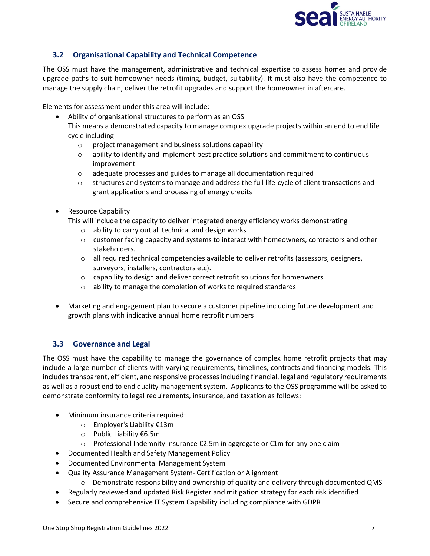

# <span id="page-6-0"></span>**3.2 Organisational Capability and Technical Competence**

The OSS must have the management, administrative and technical expertise to assess homes and provide upgrade paths to suit homeowner needs (timing, budget, suitability). It must also have the competence to manage the supply chain, deliver the retrofit upgrades and support the homeowner in aftercare.

Elements for assessment under this area will include:

- Ability of organisational structures to perform as an OSS This means a demonstrated capacity to manage complex upgrade projects within an end to end life cycle including
	- o project management and business solutions capability
	- $\circ$  ability to identify and implement best practice solutions and commitment to continuous improvement
	- o adequate processes and guides to manage all documentation required
	- o structures and systems to manage and address the full life-cycle of client transactions and grant applications and processing of energy credits
- Resource Capability
	- This will include the capacity to deliver integrated energy efficiency works demonstrating
		- o ability to carry out all technical and design works
		- o customer facing capacity and systems to interact with homeowners, contractors and other stakeholders.
		- o all required technical competencies available to deliver retrofits (assessors, designers, surveyors, installers, contractors etc).
		- o capability to design and deliver correct retrofit solutions for homeowners
		- o ability to manage the completion of works to required standards
- Marketing and engagement plan to secure a customer pipeline including future development and growth plans with indicative annual home retrofit numbers

# <span id="page-6-1"></span>**3.3 Governance and Legal**

The OSS must have the capability to manage the governance of complex home retrofit projects that may include a large number of clients with varying requirements, timelines, contracts and financing models. This includes transparent, efficient, and responsive processes including financial, legal and regulatory requirements as well as a robust end to end quality management system. Applicants to the OSS programme will be asked to demonstrate conformity to legal requirements, insurance, and taxation as follows:

- Minimum insurance criteria required:
	- o Employer's Liability €13m
	- o Public Liability €6.5m
	- o Professional Indemnity Insurance €2.5m in aggregate or €1m for any one claim
- Documented Health and Safety Management Policy
- Documented Environmental Management System
- Quality Assurance Management System- Certification or Alignment
	- o Demonstrate responsibility and ownership of quality and delivery through documented QMS
- Regularly reviewed and updated Risk Register and mitigation strategy for each risk identified
- Secure and comprehensive IT System Capability including compliance with GDPR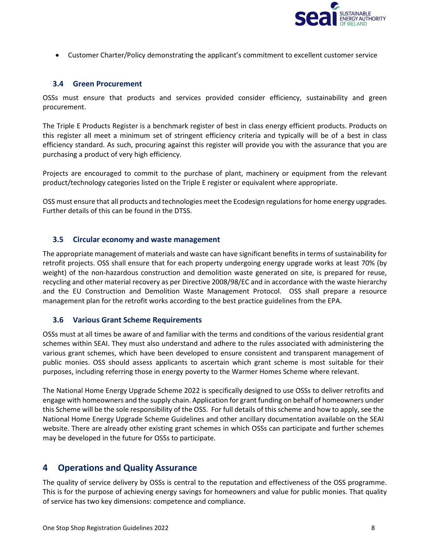

• Customer Charter/Policy demonstrating the applicant's commitment to excellent customer service

### <span id="page-7-0"></span>**3.4 Green Procurement**

OSSs must ensure that products and services provided consider efficiency, sustainability and green procurement.

The Triple E Products Register is a benchmark register of best in class energy efficient products. Products on this register all meet a minimum set of stringent efficiency criteria and typically will be of a best in class efficiency standard. As such, procuring against this register will provide you with the assurance that you are purchasing a product of very high efficiency.

Projects are encouraged to commit to the purchase of plant, machinery or equipment from the relevant product/technology categories listed on the Triple E register or equivalent where appropriate.

OSS must ensure that all products and technologies meet the Ecodesign regulations for home energy upgrades. Further details of this can be found in the DTSS.

### <span id="page-7-1"></span>**3.5 Circular economy and waste management**

The appropriate management of materials and waste can have significant benefits in terms of sustainability for retrofit projects. OSS shall ensure that for each property undergoing energy upgrade works at least 70% (by weight) of the non-hazardous construction and demolition waste generated on site, is prepared for reuse, recycling and other material recovery as per Directive 2008/98/EC and in accordance with the waste hierarchy and the EU Construction and Demolition Waste Management Protocol. OSS shall prepare a resource management plan for the retrofit works according to the best practice guidelines from the EPA.

#### <span id="page-7-2"></span>**3.6 Various Grant Scheme Requirements**

OSSs must at all times be aware of and familiar with the terms and conditions of the various residential grant schemes within SEAI. They must also understand and adhere to the rules associated with administering the various grant schemes, which have been developed to ensure consistent and transparent management of public monies. OSS should assess applicants to ascertain which grant scheme is most suitable for their purposes, including referring those in energy poverty to the Warmer Homes Scheme where relevant.

The National Home Energy Upgrade Scheme 2022 is specifically designed to use OSSs to deliver retrofits and engage with homeowners and the supply chain. Application for grant funding on behalf of homeowners under this Scheme will be the sole responsibility of the OSS. For full details of this scheme and how to apply, see the National Home Energy Upgrade Scheme Guidelines and other ancillary documentation available on the SEAI website. There are already other existing grant schemes in which OSSs can participate and further schemes may be developed in the future for OSSs to participate.

# <span id="page-7-3"></span>**4 Operations and Quality Assurance**

The quality of service delivery by OSSs is central to the reputation and effectiveness of the OSS programme. This is for the purpose of achieving energy savings for homeowners and value for public monies. That quality of service has two key dimensions: competence and compliance.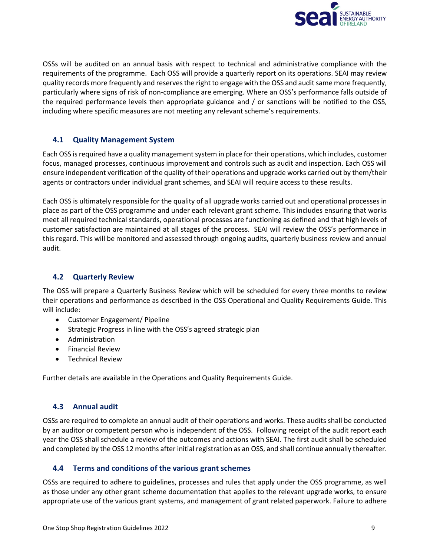

OSSs will be audited on an annual basis with respect to technical and administrative compliance with the requirements of the programme. Each OSS will provide a quarterly report on its operations. SEAI may review quality records more frequently and reservesthe right to engage with the OSS and audit same more frequently, particularly where signs of risk of non-compliance are emerging. Where an OSS's performance falls outside of the required performance levels then appropriate guidance and / or sanctions will be notified to the OSS, including where specific measures are not meeting any relevant scheme's requirements.

### <span id="page-8-0"></span>**4.1 Quality Management System**

Each OSS is required have a quality management system in place for their operations, which includes, customer focus, managed processes, continuous improvement and controls such as audit and inspection. Each OSS will ensure independent verification of the quality of their operations and upgrade works carried out by them/their agents or contractors under individual grant schemes, and SEAI will require access to these results.

Each OSS is ultimately responsible for the quality of all upgrade works carried out and operational processes in place as part of the OSS programme and under each relevant grant scheme. This includes ensuring that works meet all required technical standards, operational processes are functioning as defined and that high levels of customer satisfaction are maintained at all stages of the process. SEAI will review the OSS's performance in this regard. This will be monitored and assessed through ongoing audits, quarterly business review and annual audit.

#### <span id="page-8-1"></span>**4.2 Quarterly Review**

The OSS will prepare a Quarterly Business Review which will be scheduled for every three months to review their operations and performance as described in the OSS Operational and Quality Requirements Guide. This will include:

- Customer Engagement/ Pipeline
- Strategic Progress in line with the OSS's agreed strategic plan
- Administration
- Financial Review
- Technical Review

Further details are available in the Operations and Quality Requirements Guide.

# <span id="page-8-2"></span>**4.3 Annual audit**

OSSs are required to complete an annual audit of their operations and works. These audits shall be conducted by an auditor or competent person who is independent of the OSS. Following receipt of the audit report each year the OSS shall schedule a review of the outcomes and actions with SEAI. The first audit shall be scheduled and completed by the OSS 12 months after initial registration as an OSS, and shall continue annually thereafter.

#### <span id="page-8-3"></span>**4.4 Terms and conditions of the various grant schemes**

OSSs are required to adhere to guidelines, processes and rules that apply under the OSS programme, as well as those under any other grant scheme documentation that applies to the relevant upgrade works, to ensure appropriate use of the various grant systems, and management of grant related paperwork. Failure to adhere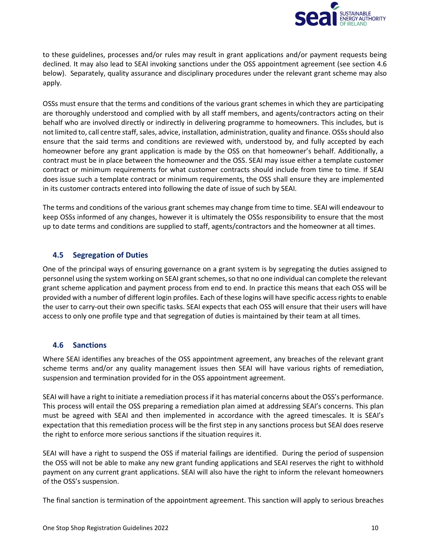

to these guidelines, processes and/or rules may result in grant applications and/or payment requests being declined. It may also lead to SEAI invoking sanctions under the OSS appointment agreement (see section 4.6 below). Separately, quality assurance and disciplinary procedures under the relevant grant scheme may also apply.

OSSs must ensure that the terms and conditions of the various grant schemes in which they are participating are thoroughly understood and complied with by all staff members, and agents/contractors acting on their behalf who are involved directly or indirectly in delivering programme to homeowners. This includes, but is not limited to, call centre staff, sales, advice, installation, administration, quality and finance. OSSsshould also ensure that the said terms and conditions are reviewed with, understood by, and fully accepted by each homeowner before any grant application is made by the OSS on that homeowner's behalf. Additionally, a contract must be in place between the homeowner and the OSS. SEAI may issue either a template customer contract or minimum requirements for what customer contracts should include from time to time. If SEAI does issue such a template contract or minimum requirements, the OSS shall ensure they are implemented in its customer contracts entered into following the date of issue of such by SEAI.

The terms and conditions of the various grant schemes may change from time to time. SEAI will endeavour to keep OSSs informed of any changes, however it is ultimately the OSSs responsibility to ensure that the most up to date terms and conditions are supplied to staff, agents/contractors and the homeowner at all times.

# <span id="page-9-0"></span>**4.5 Segregation of Duties**

One of the principal ways of ensuring governance on a grant system is by segregating the duties assigned to personnel using the system working on SEAI grant schemes, so that no one individual can complete the relevant grant scheme application and payment process from end to end. In practice this means that each OSS will be provided with a number of different login profiles. Each of these logins will have specific access rights to enable the user to carry-out their own specific tasks. SEAI expects that each OSS will ensure that their users will have access to only one profile type and that segregation of duties is maintained by their team at all times.

# <span id="page-9-1"></span>**4.6 Sanctions**

Where SEAI identifies any breaches of the OSS appointment agreement, any breaches of the relevant grant scheme terms and/or any quality management issues then SEAI will have various rights of remediation, suspension and termination provided for in the OSS appointment agreement.

SEAI will have a right to initiate a remediation process if it has material concerns about the OSS's performance. This process will entail the OSS preparing a remediation plan aimed at addressing SEAI's concerns. This plan must be agreed with SEAI and then implemented in accordance with the agreed timescales. It is SEAI's expectation that this remediation process will be the first step in any sanctions process but SEAI does reserve the right to enforce more serious sanctions if the situation requires it.

SEAI will have a right to suspend the OSS if material failings are identified. During the period of suspension the OSS will not be able to make any new grant funding applications and SEAI reserves the right to withhold payment on any current grant applications. SEAI will also have the right to inform the relevant homeowners of the OSS's suspension.

The final sanction is termination of the appointment agreement. This sanction will apply to serious breaches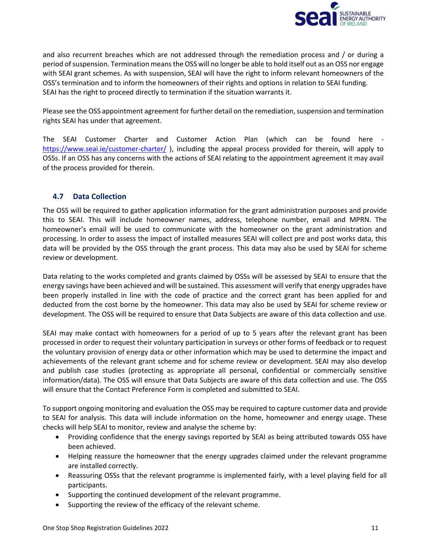

and also recurrent breaches which are not addressed through the remediation process and / or during a period of suspension. Termination means the OSS will no longer be able to hold itself out as an OSS nor engage with SEAI grant schemes. As with suspension, SEAI will have the right to inform relevant homeowners of the OSS's termination and to inform the homeowners of their rights and options in relation to SEAI funding. SEAI has the right to proceed directly to termination if the situation warrants it.

Please see the OSS appointment agreement for further detail on the remediation, suspension and termination rights SEAI has under that agreement.

The SEAI Customer Charter and Customer Action Plan (which can be found here <https://www.seai.ie/customer-charter/> ), including the appeal process provided for therein, will apply to OSSs. If an OSS has any concerns with the actions of SEAI relating to the appointment agreement it may avail of the process provided for therein.

# <span id="page-10-0"></span>**4.7 Data Collection**

The OSS will be required to gather application information for the grant administration purposes and provide this to SEAI. This will include homeowner names, address, telephone number, email and MPRN. The homeowner's email will be used to communicate with the homeowner on the grant administration and processing. In order to assess the impact of installed measures SEAI will collect pre and post works data, this data will be provided by the OSS through the grant process. This data may also be used by SEAI for scheme review or development.

Data relating to the works completed and grants claimed by OSSs will be assessed by SEAI to ensure that the energy savings have been achieved and will be sustained. This assessment will verify that energy upgrades have been properly installed in line with the code of practice and the correct grant has been applied for and deducted from the cost borne by the homeowner. This data may also be used by SEAI for scheme review or development. The OSS will be required to ensure that Data Subjects are aware of this data collection and use.

SEAI may make contact with homeowners for a period of up to 5 years after the relevant grant has been processed in order to request their voluntary participation in surveys or other forms of feedback or to request the voluntary provision of energy data or other information which may be used to determine the impact and achievements of the relevant grant scheme and for scheme review or development. SEAI may also develop and publish case studies (protecting as appropriate all personal, confidential or commercially sensitive information/data). The OSS will ensure that Data Subjects are aware of this data collection and use. The OSS will ensure that the Contact Preference Form is completed and submitted to SEAI.

To support ongoing monitoring and evaluation the OSS may be required to capture customer data and provide to SEAI for analysis. This data will include information on the home, homeowner and energy usage. These checks will help SEAI to monitor, review and analyse the scheme by:

- Providing confidence that the energy savings reported by SEAI as being attributed towards OSS have been achieved.
- Helping reassure the homeowner that the energy upgrades claimed under the relevant programme are installed correctly.
- Reassuring OSSs that the relevant programme is implemented fairly, with a level playing field for all participants.
- Supporting the continued development of the relevant programme.
- Supporting the review of the efficacy of the relevant scheme.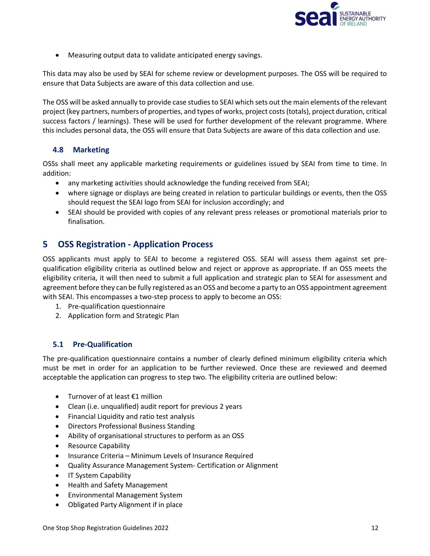

• Measuring output data to validate anticipated energy savings.

This data may also be used by SEAI for scheme review or development purposes. The OSS will be required to ensure that Data Subjects are aware of this data collection and use.

The OSS will be asked annually to provide case studies to SEAI which sets out the main elements of the relevant project (key partners, numbers of properties, and types of works, project costs (totals), project duration, critical success factors / learnings). These will be used for further development of the relevant programme. Where this includes personal data, the OSS will ensure that Data Subjects are aware of this data collection and use.

# <span id="page-11-0"></span>**4.8 Marketing**

OSSs shall meet any applicable marketing requirements or guidelines issued by SEAI from time to time. In addition:

- any marketing activities should acknowledge the funding received from SEAI;
- where signage or displays are being created in relation to particular buildings or events, then the OSS should request the SEAI logo from SEAI for inclusion accordingly; and
- SEAI should be provided with copies of any relevant press releases or promotional materials prior to finalisation.

# <span id="page-11-1"></span>**5 OSS Registration - Application Process**

OSS applicants must apply to SEAI to become a registered OSS. SEAI will assess them against set prequalification eligibility criteria as outlined below and reject or approve as appropriate. If an OSS meets the eligibility criteria, it will then need to submit a full application and strategic plan to SEAI for assessment and agreement before they can be fully registered as an OSS and become a party to an OSS appointment agreement with SEAI. This encompasses a two-step process to apply to become an OSS:

- 1. Pre-qualification questionnaire
- 2. Application form and Strategic Plan

# <span id="page-11-2"></span>**5.1 Pre-Qualification**

The pre-qualification questionnaire contains a number of clearly defined minimum eligibility criteria which must be met in order for an application to be further reviewed. Once these are reviewed and deemed acceptable the application can progress to step two. The eligibility criteria are outlined below:

- Turnover of at least €1 million
- Clean (i.e. unqualified) audit report for previous 2 years
- Financial Liquidity and ratio test analysis
- Directors Professional Business Standing
- Ability of organisational structures to perform as an OSS
- Resource Capability
- Insurance Criteria Minimum Levels of Insurance Required
- Quality Assurance Management System- Certification or Alignment
- IT System Capability
- Health and Safety Management
- Environmental Management System
- Obligated Party Alignment if in place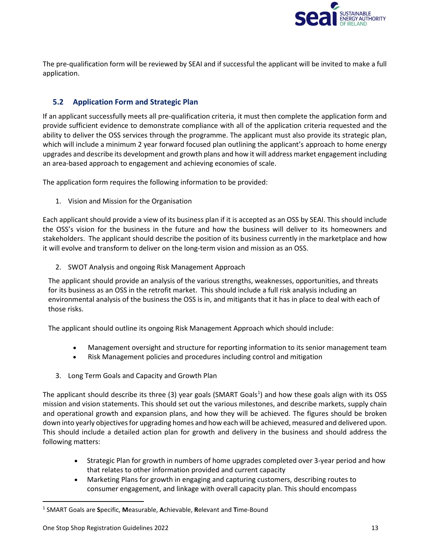

The pre-qualification form will be reviewed by SEAI and if successful the applicant will be invited to make a full application.

# <span id="page-12-0"></span>**5.2 Application Form and Strategic Plan**

If an applicant successfully meets all pre-qualification criteria, it must then complete the application form and provide sufficient evidence to demonstrate compliance with all of the application criteria requested and the ability to deliver the OSS services through the programme. The applicant must also provide its strategic plan, which will include a minimum 2 year forward focused plan outlining the applicant's approach to home energy upgrades and describe its development and growth plans and how it will address market engagement including an area-based approach to engagement and achieving economies of scale.

The application form requires the following information to be provided:

1. Vision and Mission for the Organisation

Each applicant should provide a view of its business plan if it is accepted as an OSS by SEAI. This should include the OSS's vision for the business in the future and how the business will deliver to its homeowners and stakeholders. The applicant should describe the position of its business currently in the marketplace and how it will evolve and transform to deliver on the long-term vision and mission as an OSS.

2. SWOT Analysis and ongoing Risk Management Approach

The applicant should provide an analysis of the various strengths, weaknesses, opportunities, and threats for its business as an OSS in the retrofit market. This should include a full risk analysis including an environmental analysis of the business the OSS is in, and mitigants that it has in place to deal with each of those risks.

The applicant should outline its ongoing Risk Management Approach which should include:

- Management oversight and structure for reporting information to its senior management team
- Risk Management policies and procedures including control and mitigation
- 3. Long Term Goals and Capacity and Growth Plan

The applicant should describe its three (3) year goals (SMART Goals<sup>[1](#page-12-1)</sup>) and how these goals align with its OSS mission and vision statements. This should set out the various milestones, and describe markets, supply chain and operational growth and expansion plans, and how they will be achieved. The figures should be broken down into yearly objectives for upgrading homes and how each will be achieved, measured and delivered upon. This should include a detailed action plan for growth and delivery in the business and should address the following matters:

- Strategic Plan for growth in numbers of home upgrades completed over 3-year period and how that relates to other information provided and current capacity
- Marketing Plans for growth in engaging and capturing customers, describing routes to consumer engagement, and linkage with overall capacity plan. This should encompass

<span id="page-12-1"></span><sup>1</sup> SMART Goals are **S**pecific, **M**easurable, **A**chievable, **R**elevant and **T**ime-Bound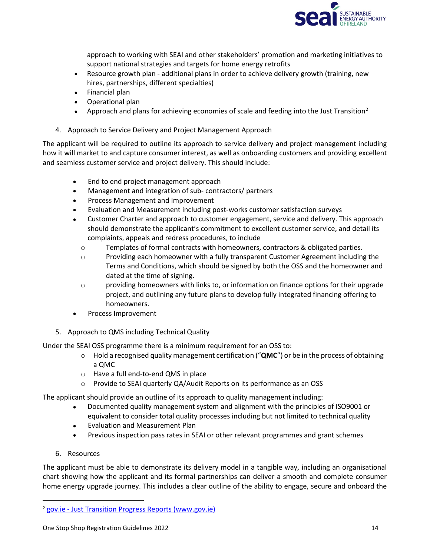

approach to working with SEAI and other stakeholders' promotion and marketing initiatives to support national strategies and targets for home energy retrofits

- Resource growth plan additional plans in order to achieve delivery growth (training, new hires, partnerships, different specialties)
- Financial plan
- Operational plan
- Approach and plans for achieving economies of scale and feeding into the Just Transition<sup>[2](#page-13-0)</sup>
- 4. Approach to Service Delivery and Project Management Approach

The applicant will be required to outline its approach to service delivery and project management including how it will market to and capture consumer interest, as well as onboarding customers and providing excellent and seamless customer service and project delivery. This should include:

- End to end project management approach
- Management and integration of sub- contractors/ partners
- Process Management and Improvement
- Evaluation and Measurement including post-works customer satisfaction surveys
- Customer Charter and approach to customer engagement, service and delivery. This approach should demonstrate the applicant's commitment to excellent customer service, and detail its complaints, appeals and redress procedures, to include
	- o Templates of formal contracts with homeowners, contractors & obligated parties.
	- o Providing each homeowner with a fully transparent Customer Agreement including the Terms and Conditions, which should be signed by both the OSS and the homeowner and dated at the time of signing.
	- $\circ$  providing homeowners with links to, or information on finance options for their upgrade project, and outlining any future plans to develop fully integrated financing offering to homeowners.
- Process Improvement
- 5. Approach to QMS including Technical Quality

Under the SEAI OSS programme there is a minimum requirement for an OSS to:

- o Hold a recognised quality management certification ("**QMC**") or be in the process of obtaining a QMC
- o Have a full end-to-end QMS in place
- o Provide to SEAI quarterly QA/Audit Reports on its performance as an OSS

The applicant should provide an outline of its approach to quality management including:

- Documented quality management system and alignment with the principles of ISO9001 or equivalent to consider total quality processes including but not limited to technical quality
- Evaluation and Measurement Plan
- Previous inspection pass rates in SEAI or other relevant programmes and grant schemes
- 6. Resources

The applicant must be able to demonstrate its delivery model in a tangible way, including an organisational chart showing how the applicant and its formal partnerships can deliver a smooth and complete consumer home energy upgrade journey. This includes a clear outline of the ability to engage, secure and onboard the

<span id="page-13-0"></span><sup>2</sup> gov.ie - [Just Transition Progress Reports \(www.gov.ie\)](https://www.gov.ie/en/publication/e0e7e-climate-action-plan-to-tackle-climate-breakdown-just-transition/)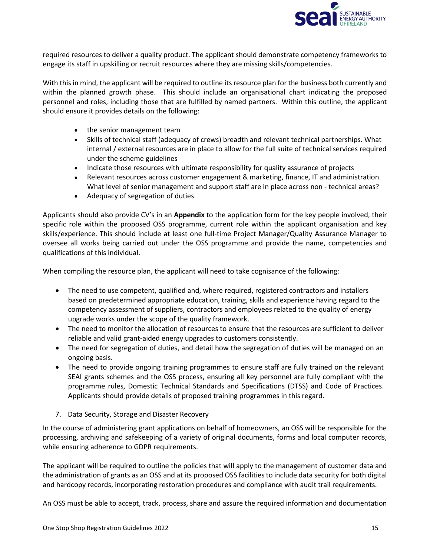

required resources to deliver a quality product. The applicant should demonstrate competency frameworks to engage its staff in upskilling or recruit resources where they are missing skills/competencies.

With this in mind, the applicant will be required to outline its resource plan for the business both currently and within the planned growth phase. This should include an organisational chart indicating the proposed personnel and roles, including those that are fulfilled by named partners. Within this outline, the applicant should ensure it provides details on the following:

- the senior management team
- Skills of technical staff (adequacy of crews) breadth and relevant technical partnerships. What internal / external resources are in place to allow for the full suite of technical services required under the scheme guidelines
- Indicate those resources with ultimate responsibility for quality assurance of projects
- Relevant resources across customer engagement & marketing, finance, IT and administration. What level of senior management and support staff are in place across non - technical areas?
- Adequacy of segregation of duties

Applicants should also provide CV's in an **Appendix** to the application form for the key people involved, their specific role within the proposed OSS programme, current role within the applicant organisation and key skills/experience. This should include at least one full-time Project Manager/Quality Assurance Manager to oversee all works being carried out under the OSS programme and provide the name, competencies and qualifications of this individual.

When compiling the resource plan, the applicant will need to take cognisance of the following:

- The need to use competent, qualified and, where required, registered contractors and installers based on predetermined appropriate education, training, skills and experience having regard to the competency assessment of suppliers, contractors and employees related to the quality of energy upgrade works under the scope of the quality framework.
- The need to monitor the allocation of resources to ensure that the resources are sufficient to deliver reliable and valid grant-aided energy upgrades to customers consistently.
- The need for segregation of duties, and detail how the segregation of duties will be managed on an ongoing basis.
- The need to provide ongoing training programmes to ensure staff are fully trained on the relevant SEAI grants schemes and the OSS process, ensuring all key personnel are fully compliant with the programme rules, Domestic Technical Standards and Specifications (DTSS) and Code of Practices. Applicants should provide details of proposed training programmes in this regard.
- 7. Data Security, Storage and Disaster Recovery

In the course of administering grant applications on behalf of homeowners, an OSS will be responsible for the processing, archiving and safekeeping of a variety of original documents, forms and local computer records, while ensuring adherence to GDPR requirements.

The applicant will be required to outline the policies that will apply to the management of customer data and the administration of grants as an OSS and at its proposed OSS facilities to include data security for both digital and hardcopy records, incorporating restoration procedures and compliance with audit trail requirements.

An OSS must be able to accept, track, process, share and assure the required information and documentation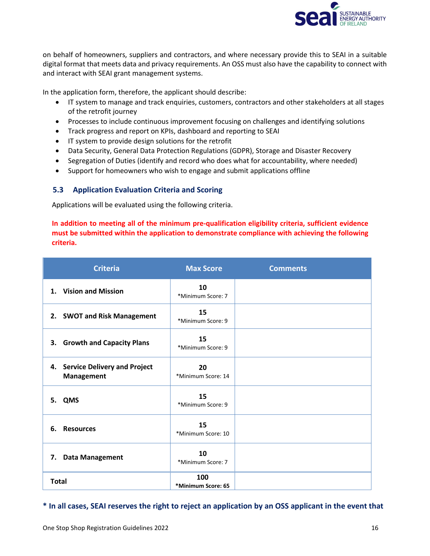

on behalf of homeowners, suppliers and contractors, and where necessary provide this to SEAI in a suitable digital format that meets data and privacy requirements. An OSS must also have the capability to connect with and interact with SEAI grant management systems.

In the application form, therefore, the applicant should describe:

- IT system to manage and track enquiries, customers, contractors and other stakeholders at all stages of the retrofit journey
- Processes to include continuous improvement focusing on challenges and identifying solutions
- Track progress and report on KPIs, dashboard and reporting to SEAI
- IT system to provide design solutions for the retrofit
- Data Security, General Data Protection Regulations (GDPR), Storage and Disaster Recovery
- Segregation of Duties (identify and record who does what for accountability, where needed)
- Support for homeowners who wish to engage and submit applications offline

# <span id="page-15-0"></span>**5.3 Application Evaluation Criteria and Scoring**

Applications will be evaluated using the following criteria.

# **In addition to meeting all of the minimum pre-qualification eligibility criteria, sufficient evidence must be submitted within the application to demonstrate compliance with achieving the following criteria.**

| <b>Criteria</b>                                                | <b>Max Score</b>          | <b>Comments</b> |
|----------------------------------------------------------------|---------------------------|-----------------|
| <b>Vision and Mission</b><br>$\mathbf 1$ .                     | 10<br>*Minimum Score: 7   |                 |
| 2. SWOT and Risk Management                                    | 15<br>*Minimum Score: 9   |                 |
| 3. Growth and Capacity Plans                                   | 15<br>*Minimum Score: 9   |                 |
| <b>Service Delivery and Project</b><br>4.<br><b>Management</b> | 20<br>*Minimum Score: 14  |                 |
| 5. QMS                                                         | 15<br>*Minimum Score: 9   |                 |
| <b>Resources</b><br>6.                                         | 15<br>*Minimum Score: 10  |                 |
| <b>Data Management</b><br>7.                                   | 10<br>*Minimum Score: 7   |                 |
| <b>Total</b>                                                   | 100<br>*Minimum Score: 65 |                 |

# **\* In all cases, SEAI reserves the right to reject an application by an OSS applicant in the event that**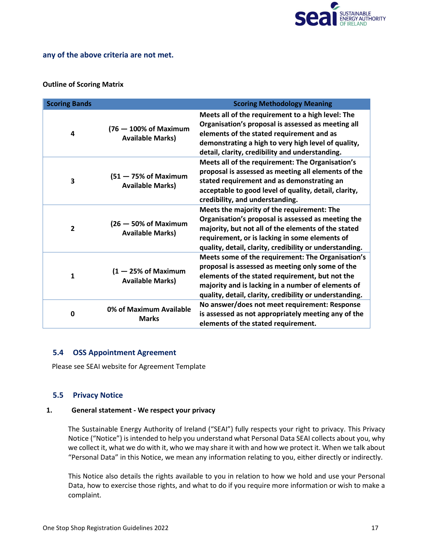

#### **any of the above criteria are not met.**

#### **Outline of Scoring Matrix**

| <b>Scoring Bands</b> | <b>Scoring Methodology Meaning</b>                           |                                                                                                                                                                                                                                                                           |  |  |
|----------------------|--------------------------------------------------------------|---------------------------------------------------------------------------------------------------------------------------------------------------------------------------------------------------------------------------------------------------------------------------|--|--|
| 4                    | $(76 - 100\% \text{ of Maximum})$<br><b>Available Marks)</b> | Meets all of the requirement to a high level: The<br>Organisation's proposal is assessed as meeting all<br>elements of the stated requirement and as<br>demonstrating a high to very high level of quality,<br>detail, clarity, credibility and understanding.            |  |  |
| 3                    | $(51 - 75\% \text{ of Maximum})$<br><b>Available Marks)</b>  | Meets all of the requirement: The Organisation's<br>proposal is assessed as meeting all elements of the<br>stated requirement and as demonstrating an<br>acceptable to good level of quality, detail, clarity,<br>credibility, and understanding.                         |  |  |
| $\overline{2}$       | $(26 - 50\% \text{ of Maximum})$<br><b>Available Marks)</b>  | Meets the majority of the requirement: The<br>Organisation's proposal is assessed as meeting the<br>majority, but not all of the elements of the stated<br>requirement, or is lacking in some elements of<br>quality, detail, clarity, credibility or understanding.      |  |  |
| $\mathbf{1}$         | $(1 - 25\% \text{ of Maximum})$<br><b>Available Marks)</b>   | Meets some of the requirement: The Organisation's<br>proposal is assessed as meeting only some of the<br>elements of the stated requirement, but not the<br>majority and is lacking in a number of elements of<br>quality, detail, clarity, credibility or understanding. |  |  |
| 0                    | 0% of Maximum Available<br><b>Marks</b>                      | No answer/does not meet requirement: Response<br>is assessed as not appropriately meeting any of the<br>elements of the stated requirement.                                                                                                                               |  |  |

#### <span id="page-16-0"></span>**5.4 OSS Appointment Agreement**

Please see SEAI website for Agreement Template

#### <span id="page-16-1"></span>**5.5 Privacy Notice**

#### **1. General statement - We respect your privacy**

The Sustainable Energy Authority of Ireland ("SEAI") fully respects your right to privacy. This Privacy Notice ("Notice") is intended to help you understand what Personal Data SEAI collects about you, why we collect it, what we do with it, who we may share it with and how we protect it. When we talk about "Personal Data" in this Notice, we mean any information relating to you, either directly or indirectly.

This Notice also details the rights available to you in relation to how we hold and use your Personal Data, how to exercise those rights, and what to do if you require more information or wish to make a complaint.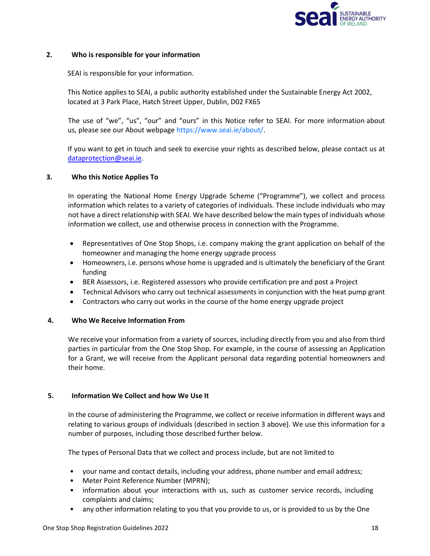

#### **2. Who is responsible for your information**

SEAI is responsible for your information.

This Notice applies to SEAI, a public authority established under the Sustainable Energy Act 2002, located at 3 Park Place, Hatch Street Upper, Dublin, D02 FX65

The use of "we", "us", "our" and "ours" in this Notice refer to SEAI. For more information about us, please see our About webpage [https://www.seai.ie/about/.](https://www.seai.ie/about/)

If you want to get in touch and seek to exercise your rights as described below, please contact us at [dataprotection@seai.ie.](mailto:dataprotection@seai.ie)

#### **3. Who this Notice Applies To**

In operating the National Home Energy Upgrade Scheme ("Programme"), we collect and process information which relates to a variety of categories of individuals. These include individuals who may not have a direct relationship with SEAI. We have described below the main types of individuals whose information we collect, use and otherwise process in connection with the Programme.

- Representatives of One Stop Shops, i.e. company making the grant application on behalf of the homeowner and managing the home energy upgrade process
- Homeowners, i.e. persons whose home is upgraded and is ultimately the beneficiary of the Grant funding
- BER Assessors, i.e. Registered assessors who provide certification pre and post a Project
- Technical Advisors who carry out technical assessments in conjunction with the heat pump grant
- Contractors who carry out works in the course of the home energy upgrade project

#### **4. Who We Receive Information From**

We receive your information from a variety of sources, including directly from you and also from third parties in particular from the One Stop Shop. For example, in the course of assessing an Application for a Grant, we will receive from the Applicant personal data regarding potential homeowners and their home.

#### **5. Information We Collect and how We Use It**

In the course of administering the Programme, we collect or receive information in different ways and relating to various groups of individuals (described in section 3 above). We use this information for a number of purposes, including those described further below.

The types of Personal Data that we collect and process include, but are not limited to

- your name and contact details, including your address, phone number and email address;
- Meter Point Reference Number (MPRN);
- information about your interactions with us, such as customer service records, including complaints and claims;
- any other information relating to you that you provide to us, or is provided to us by the One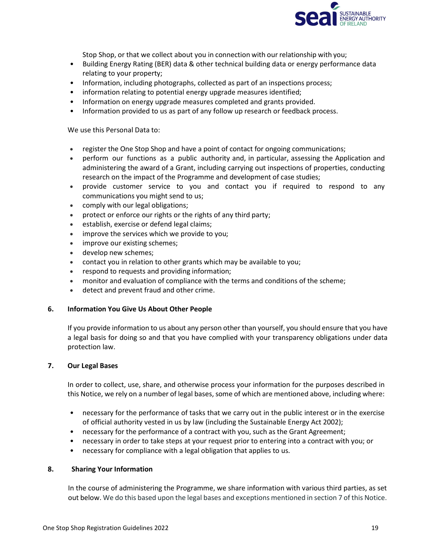

Stop Shop, or that we collect about you in connection with our relationship with you;

- Building Energy Rating (BER) data & other technical building data or energy performance data relating to your property;
- Information, including photographs, collected as part of an inspections process;
- information relating to potential energy upgrade measures identified;
- Information on energy upgrade measures completed and grants provided.
- Information provided to us as part of any follow up research or feedback process.

We use this Personal Data to:

- register the One Stop Shop and have a point of contact for ongoing communications;
- perform our functions as a public authority and, in particular, assessing the Application and administering the award of a Grant, including carrying out inspections of properties, conducting research on the impact of the Programme and development of case studies;
- provide customer service to you and contact you if required to respond to any communications you might send to us;
- comply with our legal obligations;
- protect or enforce our rights or the rights of any third party;
- establish, exercise or defend legal claims;
- improve the services which we provide to you;
- improve our existing schemes;
- develop new schemes;
- contact you in relation to other grants which may be available to you;
- respond to requests and providing information;
- monitor and evaluation of compliance with the terms and conditions of the scheme;
- detect and prevent fraud and other crime.

#### **6. Information You Give Us About Other People**

If you provide information to us about any person other than yourself, you should ensure that you have a legal basis for doing so and that you have complied with your transparency obligations under data protection law.

#### **7. Our Legal Bases**

In order to collect, use, share, and otherwise process your information for the purposes described in this Notice, we rely on a number of legal bases, some of which are mentioned above, including where:

- necessary for the performance of tasks that we carry out in the public interest or in the exercise of official authority vested in us by law (including the Sustainable Energy Act 2002);
- necessary for the performance of a contract with you, such as the Grant Agreement;
- necessary in order to take steps at your request prior to entering into a contract with you; or
- necessary for compliance with a legal obligation that applies to us.

#### **8. Sharing Your Information**

In the course of administering the Programme, we share information with various third parties, as set out below. We do this based upon the legal bases and exceptions mentioned in section 7 of this Notice.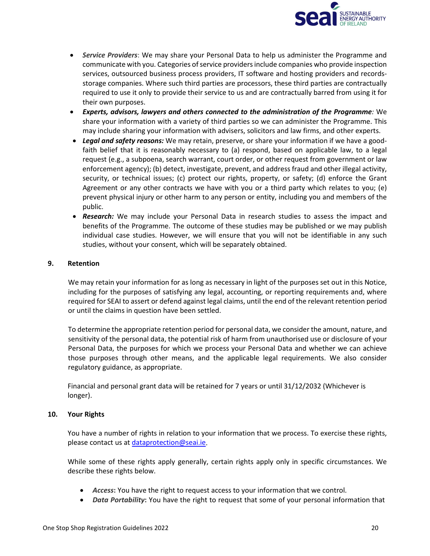

- *Service Providers*: We may share your Personal Data to help us administer the Programme and communicate with you. Categories of service providers include companies who provide inspection services, outsourced business process providers, IT software and hosting providers and recordsstorage companies. Where such third parties are processors, these third parties are contractually required to use it only to provide their service to us and are contractually barred from using it for their own purposes.
- *Experts, advisors, lawyers and others connected to the administration of the Programme:* We share your information with a variety of third parties so we can administer the Programme. This may include sharing your information with advisers, solicitors and law firms, and other experts.
- *Legal and safety reasons:* We may retain, preserve, or share your information if we have a goodfaith belief that it is reasonably necessary to (a) respond, based on applicable law, to a legal request (e.g., a subpoena, search warrant, court order, or other request from government or law enforcement agency); (b) detect, investigate, prevent, and address fraud and other illegal activity, security, or technical issues; (c) protect our rights, property, or safety; (d) enforce the Grant Agreement or any other contracts we have with you or a third party which relates to you; (e) prevent physical injury or other harm to any person or entity, including you and members of the public.
- *Research:* We may include your Personal Data in research studies to assess the impact and benefits of the Programme. The outcome of these studies may be published or we may publish individual case studies. However, we will ensure that you will not be identifiable in any such studies, without your consent, which will be separately obtained.

#### **9. Retention**

We may retain your information for as long as necessary in light of the purposes set out in this Notice, including for the purposes of satisfying any legal, accounting, or reporting requirements and, where required for SEAI to assert or defend against legal claims, until the end of the relevant retention period or until the claims in question have been settled.

To determine the appropriate retention period for personal data, we consider the amount, nature, and sensitivity of the personal data, the potential risk of harm from unauthorised use or disclosure of your Personal Data, the purposes for which we process your Personal Data and whether we can achieve those purposes through other means, and the applicable legal requirements. We also consider regulatory guidance, as appropriate.

Financial and personal grant data will be retained for 7 years or until 31/12/2032 (Whichever is longer).

#### **10. Your Rights**

You have a number of rights in relation to your information that we process. To exercise these rights, please contact us at [dataprotection@seai.ie.](mailto:dataprotection@seai.ie)

While some of these rights apply generally, certain rights apply only in specific circumstances. We describe these rights below.

- *Access***:** You have the right to request access to your information that we control.
- *Data Portability***:** You have the right to request that some of your personal information that